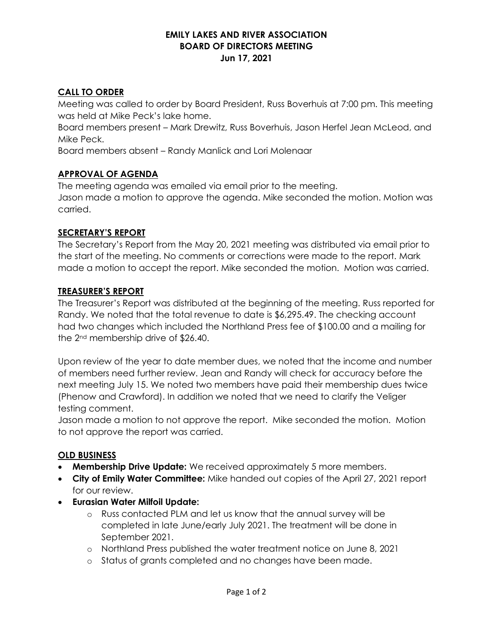## **EMILY LAKES AND RIVER ASSOCIATION BOARD OF DIRECTORS MEETING Jun 17, 2021**

## **CALL TO ORDER**

Meeting was called to order by Board President, Russ Boverhuis at 7:00 pm. This meeting was held at Mike Peck's lake home.

Board members present – Mark Drewitz, Russ Boverhuis, Jason Herfel Jean McLeod, and Mike Peck.

Board members absent – Randy Manlick and Lori Molenaar

# **APPROVAL OF AGENDA**

The meeting agenda was emailed via email prior to the meeting. Jason made a motion to approve the agenda. Mike seconded the motion. Motion was carried.

## **SECRETARY'S REPORT**

The Secretary's Report from the May 20, 2021 meeting was distributed via email prior to the start of the meeting. No comments or corrections were made to the report. Mark made a motion to accept the report. Mike seconded the motion. Motion was carried.

#### **TREASURER'S REPORT**

The Treasurer's Report was distributed at the beginning of the meeting. Russ reported for Randy. We noted that the total revenue to date is \$6,295.49. The checking account had two changes which included the Northland Press fee of \$100.00 and a mailing for the 2nd membership drive of \$26.40.

Upon review of the year to date member dues, we noted that the income and number of members need further review. Jean and Randy will check for accuracy before the next meeting July 15. We noted two members have paid their membership dues twice (Phenow and Crawford). In addition we noted that we need to clarify the Veliger testing comment.

Jason made a motion to not approve the report. Mike seconded the motion. Motion to not approve the report was carried.

## **OLD BUSINESS**

- **Membership Drive Update:** We received approximately 5 more members.
- **City of Emily Water Committee:** Mike handed out copies of the April 27, 2021 report for our review.
- **Eurasian Water Milfoil Update:**
	- o Russ contacted PLM and let us know that the annual survey will be completed in late June/early July 2021. The treatment will be done in September 2021.
	- o Northland Press published the water treatment notice on June 8, 2021
	- o Status of grants completed and no changes have been made.